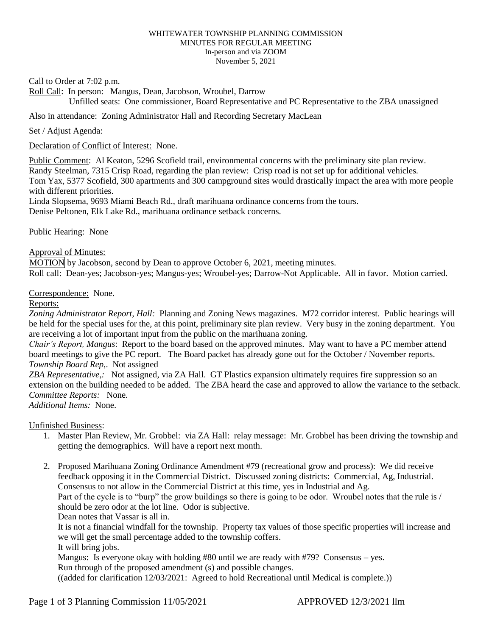## WHITEWATER TOWNSHIP PLANNING COMMISSION MINUTES FOR REGULAR MEETING In-person and via ZOOM November 5, 2021

Call to Order at 7:02 p.m.

Roll Call: In person: Mangus, Dean, Jacobson, Wroubel, Darrow Unfilled seats: One commissioner, Board Representative and PC Representative to the ZBA unassigned

## Also in attendance: Zoning Administrator Hall and Recording Secretary MacLean

Set / Adjust Agenda:

Declaration of Conflict of Interest: None.

Public Comment: Al Keaton, 5296 Scofield trail, environmental concerns with the preliminary site plan review. Randy Steelman, 7315 Crisp Road, regarding the plan review: Crisp road is not set up for additional vehicles. Tom Yax, 5377 Scofield, 300 apartments and 300 campground sites would drastically impact the area with more people with different priorities.

Linda Slopsema, 9693 Miami Beach Rd., draft marihuana ordinance concerns from the tours. Denise Peltonen, Elk Lake Rd., marihuana ordinance setback concerns.

Public Hearing: None

Approval of Minutes:

MOTION by Jacobson, second by Dean to approve October 6, 2021, meeting minutes. Roll call: Dean-yes; Jacobson-yes; Mangus-yes; Wroubel-yes; Darrow-Not Applicable. All in favor. Motion carried.

Correspondence: None.

## Reports:

*Zoning Administrator Report, Hall:* Planning and Zoning News magazines. M72 corridor interest. Public hearings will be held for the special uses for the, at this point, preliminary site plan review. Very busy in the zoning department. You are receiving a lot of important input from the public on the marihuana zoning.

*Chair's Report, Mangus*: Report to the board based on the approved minutes. May want to have a PC member attend board meetings to give the PC report. The Board packet has already gone out for the October / November reports. *Township Board Rep,*. Not assigned

*ZBA Representative,:* Not assigned, via ZA Hall. GT Plastics expansion ultimately requires fire suppression so an extension on the building needed to be added. The ZBA heard the case and approved to allow the variance to the setback. *Committee Reports:* None.

*Additional Items:* None.

Unfinished Business:

- 1. Master Plan Review, Mr. Grobbel: via ZA Hall: relay message: Mr. Grobbel has been driving the township and getting the demographics. Will have a report next month.
- 2. Proposed Marihuana Zoning Ordinance Amendment #79 (recreational grow and process): We did receive feedback opposing it in the Commercial District. Discussed zoning districts: Commercial, Ag, Industrial. Consensus to not allow in the Commercial District at this time, yes in Industrial and Ag. Part of the cycle is to "burp" the grow buildings so there is going to be odor. Wroubel notes that the rule is / should be zero odor at the lot line. Odor is subjective.

Dean notes that Vassar is all in.

It is not a financial windfall for the township. Property tax values of those specific properties will increase and we will get the small percentage added to the township coffers.

It will bring jobs.

Mangus: Is everyone okay with holding  $#80$  until we are ready with  $#79$ ? Consensus – yes.

Run through of the proposed amendment (s) and possible changes.

((added for clarification 12/03/2021: Agreed to hold Recreational until Medical is complete.))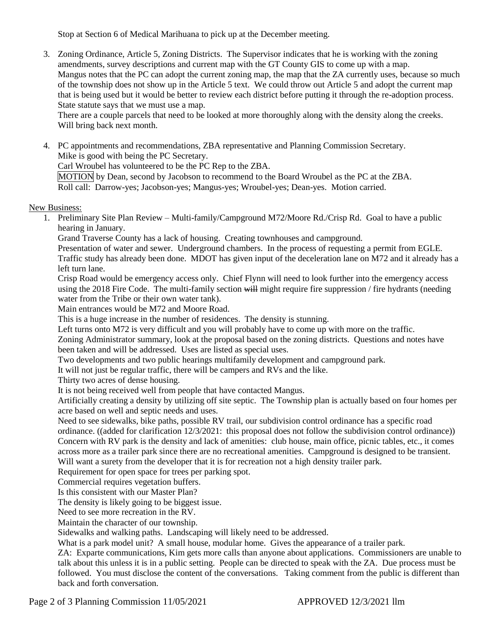Stop at Section 6 of Medical Marihuana to pick up at the December meeting.

3. Zoning Ordinance, Article 5, Zoning Districts. The Supervisor indicates that he is working with the zoning amendments, survey descriptions and current map with the GT County GIS to come up with a map. Mangus notes that the PC can adopt the current zoning map, the map that the ZA currently uses, because so much of the township does not show up in the Article 5 text. We could throw out Article 5 and adopt the current map that is being used but it would be better to review each district before putting it through the re-adoption process. State statute says that we must use a map.

There are a couple parcels that need to be looked at more thoroughly along with the density along the creeks. Will bring back next month.

4. PC appointments and recommendations, ZBA representative and Planning Commission Secretary. Mike is good with being the PC Secretary.

Carl Wroubel has volunteered to be the PC Rep to the ZBA.

MOTION by Dean, second by Jacobson to recommend to the Board Wroubel as the PC at the ZBA. Roll call: Darrow-yes; Jacobson-yes; Mangus-yes; Wroubel-yes; Dean-yes. Motion carried.

## New Business:

1. Preliminary Site Plan Review – Multi-family/Campground M72/Moore Rd./Crisp Rd. Goal to have a public hearing in January.

Grand Traverse County has a lack of housing. Creating townhouses and campground.

Presentation of water and sewer. Underground chambers. In the process of requesting a permit from EGLE. Traffic study has already been done. MDOT has given input of the deceleration lane on M72 and it already has a left turn lane.

Crisp Road would be emergency access only. Chief Flynn will need to look further into the emergency access using the 2018 Fire Code. The multi-family section will might require fire suppression / fire hydrants (needing water from the Tribe or their own water tank).

Main entrances would be M72 and Moore Road.

This is a huge increase in the number of residences. The density is stunning.

Left turns onto M72 is very difficult and you will probably have to come up with more on the traffic.

Zoning Administrator summary, look at the proposal based on the zoning districts. Questions and notes have been taken and will be addressed. Uses are listed as special uses.

Two developments and two public hearings multifamily development and campground park.

It will not just be regular traffic, there will be campers and RVs and the like.

Thirty two acres of dense housing.

It is not being received well from people that have contacted Mangus.

Artificially creating a density by utilizing off site septic. The Township plan is actually based on four homes per acre based on well and septic needs and uses.

Need to see sidewalks, bike paths, possible RV trail, our subdivision control ordinance has a specific road ordinance. ((added for clarification 12/3/2021: this proposal does not follow the subdivision control ordinance)) Concern with RV park is the density and lack of amenities: club house, main office, picnic tables, etc., it comes across more as a trailer park since there are no recreational amenities. Campground is designed to be transient. Will want a surety from the developer that it is for recreation not a high density trailer park.

Requirement for open space for trees per parking spot.

Commercial requires vegetation buffers.

Is this consistent with our Master Plan?

The density is likely going to be biggest issue.

Need to see more recreation in the RV.

Maintain the character of our township.

Sidewalks and walking paths. Landscaping will likely need to be addressed.

What is a park model unit? A small house, modular home. Gives the appearance of a trailer park.

ZA: Exparte communications, Kim gets more calls than anyone about applications. Commissioners are unable to talk about this unless it is in a public setting. People can be directed to speak with the ZA. Due process must be followed. You must disclose the content of the conversations. Taking comment from the public is different than back and forth conversation.

Page 2 of 3 Planning Commission 11/05/2021 <br>APPROVED 12/3/2021 llm